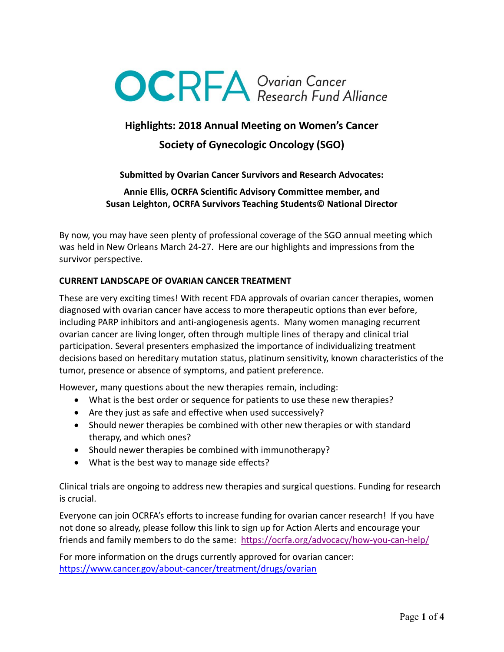

# **Highlights: 2018 Annual Meeting on Women's Cancer**

# **Society of Gynecologic Oncology (SGO)**

## **Submitted by Ovarian Cancer Survivors and Research Advocates:**

**Annie Ellis, OCRFA Scientific Advisory Committee member, and Susan Leighton, OCRFA Survivors Teaching Students© National Director**

By now, you may have seen plenty of professional coverage of the SGO annual meeting which was held in New Orleans March 24-27. Here are our highlights and impressions from the survivor perspective.

#### **CURRENT LANDSCAPE OF OVARIAN CANCER TREATMENT**

These are very exciting times! With recent FDA approvals of ovarian cancer therapies, women diagnosed with ovarian cancer have access to more therapeutic options than ever before, including PARP inhibitors and anti-angiogenesis agents. Many women managing recurrent ovarian cancer are living longer, often through multiple lines of therapy and clinical trial participation. Several presenters emphasized the importance of individualizing treatment decisions based on hereditary mutation status, platinum sensitivity, known characteristics of the tumor, presence or absence of symptoms, and patient preference.

However**,** many questions about the new therapies remain, including:

- What is the best order or sequence for patients to use these new therapies?
- Are they just as safe and effective when used successively?
- Should newer therapies be combined with other new therapies or with standard therapy, and which ones?
- Should newer therapies be combined with immunotherapy?
- What is the best way to manage side effects?

Clinical trials are ongoing to address new therapies and surgical questions. Funding for research is crucial.

Everyone can join OCRFA's efforts to increase funding for ovarian cancer research! If you have not done so already, please follow this link to sign up for Action Alerts and encourage your friends and family members to do the same: [https://ocrfa.org/advocacy/how](https://ocrfa.org/advocacy/how-you-can-help/)-you-can-help/

For more information on the drugs currently approved for ovarian cancer: https://www.cancer.gov/about-[cancer/treatment/drugs/ovarian](https://www.cancer.gov/about-cancer/treatment/drugs/ovarian)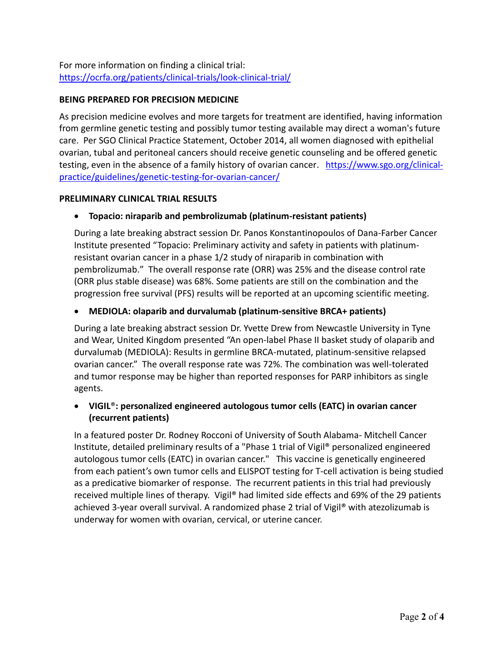For more information on finding a clinical trial: [https://ocrfa.org/patients/clinical](https://ocrfa.org/patients/clinical-trials/look-clinical-trial/)-trials/look-clinical-trial/

## **BEING PREPARED FOR PRECISION MEDICINE**

As precision medicine evolves and more targets for treatment are identified, having information from germline genetic testing and possibly tumor testing available may direct a woman's future care. Per SGO Clinical Practice Statement, October 2014, all women diagnosed with epithelial ovarian, tubal and peritoneal cancers should receive genetic counseling and be offered genetic testing, even in the absence of a family history of ovarian cancer. [https://www.sgo.org/clinical](https://www.sgo.org/clinical-practice/guidelines/genetic-testing-for-ovarian-cancer/)[practice/guidelines/genetic](https://www.sgo.org/clinical-practice/guidelines/genetic-testing-for-ovarian-cancer/)-testing-for-ovarian-cancer/

## **PRELIMINARY CLINICAL TRIAL RESULTS**

# **Topacio: niraparib and pembrolizumab (platinum-resistant patients)**

During a late breaking abstract session Dr. Panos Konstantinopoulos of Dana-Farber Cancer Institute presented "Topacio: Preliminary activity and safety in patients with platinumresistant ovarian cancer in a phase 1/2 study of niraparib in combination with pembrolizumab." The overall response rate (ORR) was 25% and the disease control rate (ORR plus stable disease) was 68%. Some patients are still on the combination and the progression free survival (PFS) results will be reported at an upcoming scientific meeting.

# **MEDIOLA: olaparib and durvalumab (platinum-sensitive BRCA+ patients)**

During a late breaking abstract session Dr. Yvette Drew from Newcastle University in Tyne and Wear, United Kingdom presented "An open-label Phase II basket study of olaparib and durvalumab (MEDIOLA): Results in germline BRCA-mutated, platinum-sensitive relapsed ovarian cancer." The overall response rate was 72%. The combination was well-tolerated and tumor response may be higher than reported responses for PARP inhibitors as single agents.

# **VIGIL**®**: personalized engineered autologous tumor cells (EATC) in ovarian cancer (recurrent patients)**

In a featured poster Dr. Rodney Rocconi of University of South Alabama- Mitchell Cancer Institute, detailed preliminary results of a "Phase 1 trial of Vigil® personalized engineered autologous tumor cells (EATC) in ovarian cancer." This vaccine is genetically engineered from each patient's own tumor cells and ELISPOT testing for T-cell activation is being studied as a predicative biomarker of response. The recurrent patients in this trial had previously received multiple lines of therapy. Vigil® had limited side effects and 69% of the 29 patients achieved 3-year overall survival. A randomized phase 2 trial of Vigil® with atezolizumab is underway for women with ovarian, cervical, or uterine cancer.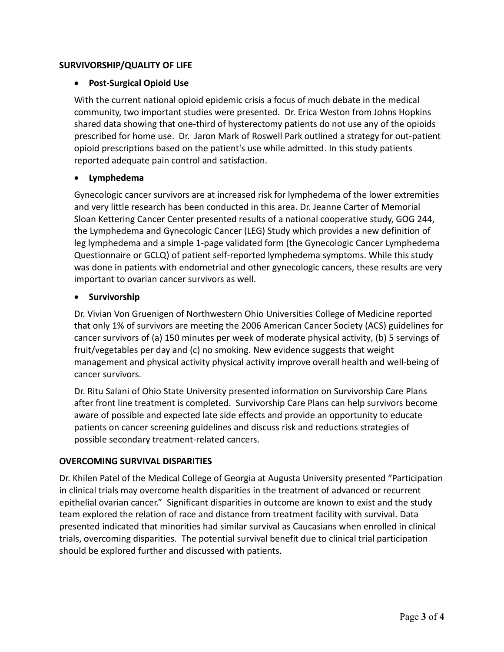## **SURVIVORSHIP/QUALITY OF LIFE**

## **Post-Surgical Opioid Use**

With the current national opioid epidemic crisis a focus of much debate in the medical community, two important studies were presented. Dr. Erica Weston from Johns Hopkins shared data showing that one-third of hysterectomy patients do not use any of the opioids prescribed for home use. Dr. Jaron Mark of Roswell Park outlined a strategy for out-patient [opioid](https://twitter.com/hashtag/opioid?src=hash) prescriptions based on the patient's use while admitted. In this study patients reported adequate pain control and satisfaction.

#### **Lymphedema**

Gynecologic cancer survivors are at increased risk for lymphedema of the lower extremities and very little research has been conducted in this area. Dr. Jeanne Carter of Memorial Sloan Kettering Cancer Center presented results of a national cooperative study, GOG 244, the Lymphedema and Gynecologic Cancer (LEG) Study which provides a new definition of leg lymphedema and a simple 1-page validated form (the Gynecologic Cancer Lymphedema Questionnaire or GCLQ) of patient self-reported lymphedema symptoms. While this study was done in patients with endometrial and other gynecologic cancers, these results are very important to ovarian cancer survivors as well.

#### **•** Survivorship

Dr. Vivian Von Gruenigen of Northwestern Ohio Universities College of Medicine reported that only 1% of survivors are meeting the 2006 American Cancer Society (ACS) guidelines for cancer survivors of (a) 150 minutes per week of moderate physical activity, (b) 5 servings of fruit/vegetables per day and (c) no smoking. New evidence suggests that weight management and physical activity physical activity improve overall health and well-being of cancer survivors.

Dr. Ritu Salani of Ohio State University presented information on Survivorship Care Plans after front line treatment is completed. Survivorship Care Plans can help survivors become aware of possible and expected late side effects and provide an opportunity to educate patients on cancer screening guidelines and discuss risk and reductions strategies of possible secondary treatment-related cancers.

# **OVERCOMING SURVIVAL DISPARITIES**

Dr. Khilen Patel of the Medical College of Georgia at Augusta University presented "Participation in clinical trials may overcome health disparities in the treatment of advanced or recurrent epithelial ovarian cancer." Significant disparities in outcome are known to exist and the study team explored the relation of race and distance from treatment facility with survival. Data presented indicated that minorities had similar survival as Caucasians when enrolled in clinical trials, overcoming disparities. The potential survival benefit due to clinical trial participation should be explored further and discussed with patients.